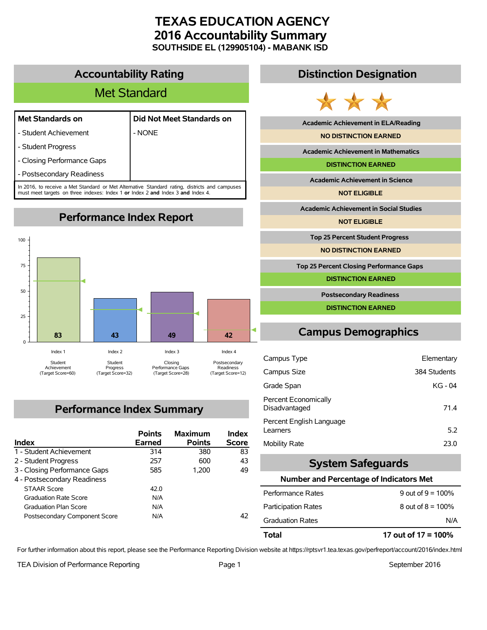# **TEXAS EDUCATION AGENCY 2016 Accountability Summary SOUTHSIDE EL (129905104) - MABANK ISD**

# **Accountability Rating**

# Met Standard

- Student Achievement | NONE
- **Met Standards on Did Not Meet Standards on**
- Student Progress
- Closing Performance Gaps
- Postsecondary Readiness

In 2016, to receive a Met Standard or Met Alternative Standard rating, districts and campuses must meet targets on three indexes: Index 1 **or** Index 2 **and** Index 3 **and** Index 4.

**Performance Index Report**



# **Performance Index Summary**

| Index                         | <b>Points</b><br>Earned | <b>Maximum</b><br><b>Points</b> | Index<br><b>Score</b> |
|-------------------------------|-------------------------|---------------------------------|-----------------------|
| 1 - Student Achievement       | 314                     | 380                             | 83                    |
| 2 - Student Progress          | 257                     | 600                             | 43                    |
| 3 - Closing Performance Gaps  | 585                     | 1.200                           | 49                    |
| 4 - Postsecondary Readiness   |                         |                                 |                       |
| <b>STAAR Score</b>            | 42 O                    |                                 |                       |
| <b>Graduation Rate Score</b>  | N/A                     |                                 |                       |
| <b>Graduation Plan Score</b>  | N/A                     |                                 |                       |
| Postsecondary Component Score | N/A                     |                                 | 42                    |

# **Distinction Designation**



**Academic Achievement in ELA/Reading**

**NO DISTINCTION EARNED**

**Academic Achievement in Mathematics**

**DISTINCTION EARNED**

**Academic Achievement in Science**

**NOT ELIGIBLE**

**Academic Achievement in Social Studies**

**NOT ELIGIBLE**

**Top 25 Percent Student Progress**

**NO DISTINCTION EARNED**

**Top 25 Percent Closing Performance Gaps**

**DISTINCTION EARNED**

**Postsecondary Readiness**

**DISTINCTION EARNED**

# **Campus Demographics**

| Campus Type                           | Elementary   |
|---------------------------------------|--------------|
| Campus Size                           | 384 Students |
| Grade Span                            | KG - 04      |
| Percent Economically<br>Disadvantaged | 71.4         |
| Percent English Language<br>Learners  | 5.2          |
| <b>Mobility Rate</b>                  | 23.0         |

# **System Safeguards**

### **Number and Percentage of Indicators Met**

| Total                      | 17 out of $17 = 100\%$ |
|----------------------------|------------------------|
| <b>Graduation Rates</b>    | N/A                    |
| <b>Participation Rates</b> | 8 out of $8 = 100\%$   |
| Performance Rates          | 9 out of $9 = 100\%$   |
|                            |                        |

For further information about this report, please see the Performance Reporting Division website at https://rptsvr1.tea.texas.gov/perfreport/account/2016/index.html

TEA Division of Performance Reporting TEA Division of Performance Reporting Team Page 1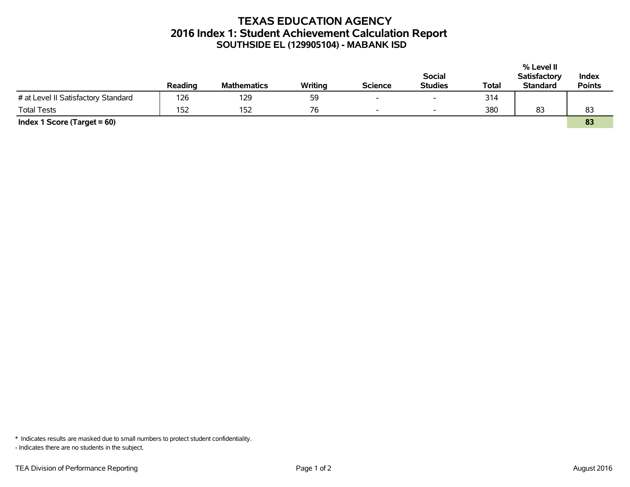# **TEXAS EDUCATION AGENCY 2016 Index 1: Student Achievement Calculation Report SOUTHSIDE EL (129905104) - MABANK ISD**

|                                     |         |                    |         |                          |                          |       | % Level II          |               |
|-------------------------------------|---------|--------------------|---------|--------------------------|--------------------------|-------|---------------------|---------------|
|                                     |         |                    |         |                          | <b>Social</b>            |       | <b>Satisfactory</b> | Index         |
|                                     | Reading | <b>Mathematics</b> | Writing | <b>Science</b>           | <b>Studies</b>           | Total | <b>Standard</b>     | <b>Points</b> |
| # at Level II Satisfactory Standard | 126     | 129                | 59      | $\overline{\phantom{0}}$ | $\overline{\phantom{0}}$ | 314   |                     |               |
| <b>Total Tests</b>                  | 152     | 152                | 76      | $\overline{\phantom{0}}$ | $\overline{\phantom{a}}$ | 380   | 83                  | 83            |
| Index 1 Score (Target $= 60$ )      |         |                    |         |                          |                          |       |                     | 83            |

\* Indicates results are masked due to small numbers to protect student confidentiality.

- Indicates there are no students in the subject.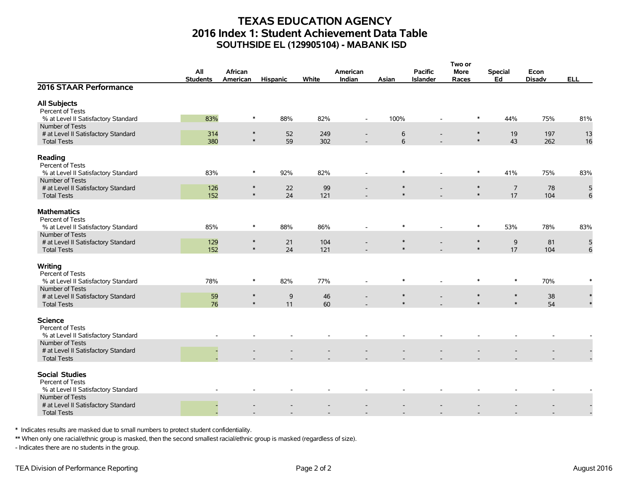# **TEXAS EDUCATION AGENCY 2016 Index 1: Student Achievement Data Table SOUTHSIDE EL (129905104) - MABANK ISD**

|                                                         |                 |          |                 |       |                          |        |                          | Two or  |                |               |            |
|---------------------------------------------------------|-----------------|----------|-----------------|-------|--------------------------|--------|--------------------------|---------|----------------|---------------|------------|
|                                                         | All             | African  |                 |       | American                 |        | <b>Pacific</b>           | More    | <b>Special</b> | Econ          |            |
|                                                         | <b>Students</b> | American | <b>Hispanic</b> | White | Indian                   | Asian  | <b>Islander</b>          | Races   | Ed             | <b>Disadv</b> | <b>ELL</b> |
| 2016 STAAR Performance                                  |                 |          |                 |       |                          |        |                          |         |                |               |            |
| <b>All Subjects</b>                                     |                 |          |                 |       |                          |        |                          |         |                |               |            |
| Percent of Tests                                        |                 |          |                 |       |                          |        |                          |         |                |               |            |
| % at Level II Satisfactory Standard                     | 83%             | $\ast$   | 88%             | 82%   | $\overline{\phantom{a}}$ | 100%   |                          | $\ast$  | 44%            | 75%           | 81%        |
| Number of Tests                                         |                 |          |                 |       |                          |        |                          |         |                |               |            |
| # at Level II Satisfactory Standard                     | 314             | $\ast$   | 52              | 249   |                          | 6      | $\overline{\phantom{a}}$ | $\ast$  | 19             | 197           | 13         |
| <b>Total Tests</b>                                      | 380             | $\ast$   | 59              | 302   |                          | 6      |                          | $\ast$  | 43             | 262           | 16         |
| Reading<br>Percent of Tests                             |                 |          |                 |       |                          |        |                          |         |                |               |            |
| % at Level II Satisfactory Standard                     | 83%             | $\ast$   | 92%             | 82%   |                          | $\ast$ |                          | $\ast$  | 41%            | 75%           | 83%        |
| Number of Tests                                         |                 |          |                 |       |                          |        |                          |         |                |               |            |
| # at Level II Satisfactory Standard                     | 126             | $\ast$   | 22              | 99    |                          | $\ast$ |                          | $\ast$  | $\overline{7}$ | 78            | 5          |
| <b>Total Tests</b>                                      | 152             | $\ast$   | 24              | 121   |                          | $\ast$ |                          | $\ast$  | 17             | 104           | 6          |
| <b>Mathematics</b>                                      |                 |          |                 |       |                          |        |                          |         |                |               |            |
| Percent of Tests                                        |                 |          |                 |       |                          |        |                          |         |                |               |            |
| % at Level II Satisfactory Standard                     | 85%             | $\ast$   | 88%             | 86%   |                          | $\ast$ | $\overline{\phantom{a}}$ | $\ast$  | 53%            | 78%           | 83%        |
| Number of Tests                                         |                 |          |                 |       |                          |        |                          |         |                |               |            |
| # at Level II Satisfactory Standard                     | 129             | $\ast$   | 21              | 104   |                          | $\ast$ |                          | $\ast$  | 9              | 81            | 5          |
| <b>Total Tests</b>                                      | 152             | $\ast$   | 24              | 121   |                          | $\ast$ |                          | $\ast$  | 17             | 104           | 6          |
|                                                         |                 |          |                 |       |                          |        |                          |         |                |               |            |
| Writing                                                 |                 |          |                 |       |                          |        |                          |         |                |               |            |
| Percent of Tests                                        |                 |          |                 |       |                          |        |                          |         |                |               |            |
| % at Level II Satisfactory Standard                     | 78%             | $\ast$   | 82%             | 77%   |                          | $\ast$ |                          | $\ast$  | $\ast$         | 70%           |            |
| Number of Tests                                         |                 |          |                 |       |                          |        |                          |         |                |               |            |
| # at Level II Satisfactory Standard                     | 59              | $\ast$   | $\mathsf 9$     | 46    |                          | $\ast$ |                          | $\ast$  | $\ast$         | 38            | $\ast$     |
| <b>Total Tests</b>                                      | 76              | $\ast$   | 11              | 60    |                          |        |                          | $\star$ | $\ast$         | 54            |            |
|                                                         |                 |          |                 |       |                          |        |                          |         |                |               |            |
| <b>Science</b>                                          |                 |          |                 |       |                          |        |                          |         |                |               |            |
| Percent of Tests<br>% at Level II Satisfactory Standard |                 |          |                 |       |                          |        |                          |         |                |               |            |
| Number of Tests                                         |                 |          |                 |       |                          |        |                          |         |                |               |            |
| # at Level II Satisfactory Standard                     |                 |          |                 |       |                          |        |                          |         |                |               |            |
| <b>Total Tests</b>                                      |                 |          |                 |       |                          |        |                          |         |                |               |            |
|                                                         |                 |          |                 |       |                          |        |                          |         |                |               |            |
| <b>Social Studies</b><br>Percent of Tests               |                 |          |                 |       |                          |        |                          |         |                |               |            |
| % at Level II Satisfactory Standard                     |                 |          |                 |       |                          |        |                          |         |                |               |            |
| Number of Tests                                         |                 |          |                 |       |                          |        |                          |         |                |               |            |
| # at Level II Satisfactory Standard                     |                 |          |                 |       |                          |        |                          |         |                |               |            |
| <b>Total Tests</b>                                      |                 |          |                 |       |                          |        |                          |         |                |               |            |
|                                                         |                 |          |                 |       |                          |        |                          |         |                |               |            |

\* Indicates results are masked due to small numbers to protect student confidentiality.

\*\* When only one racial/ethnic group is masked, then the second smallest racial/ethnic group is masked (regardless of size).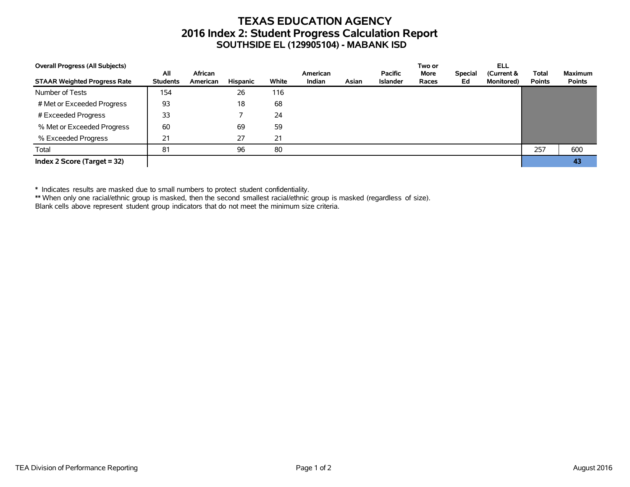# **TEXAS EDUCATION AGENCY 2016 Index 2: Student Progress Calculation Report SOUTHSIDE EL (129905104) - MABANK ISD**

| <b>Overall Progress (All Subjects)</b> |                        |                     |          |       |                    |       |                                   | Two or               |                      | ELL                              |                               |                                 |
|----------------------------------------|------------------------|---------------------|----------|-------|--------------------|-------|-----------------------------------|----------------------|----------------------|----------------------------------|-------------------------------|---------------------------------|
| <b>STAAR Weighted Progress Rate</b>    | All<br><b>Students</b> | African<br>American | Hispanic | White | American<br>Indian | Asian | <b>Pacific</b><br><b>Islander</b> | <b>More</b><br>Races | <b>Special</b><br>Ed | (Current &<br><b>Monitored</b> ) | <b>Total</b><br><b>Points</b> | <b>Maximum</b><br><b>Points</b> |
| Number of Tests                        | 154                    |                     | 26       | 116   |                    |       |                                   |                      |                      |                                  |                               |                                 |
| # Met or Exceeded Progress             | 93                     |                     | 18       | 68    |                    |       |                                   |                      |                      |                                  |                               |                                 |
| # Exceeded Progress                    | 33                     |                     |          | 24    |                    |       |                                   |                      |                      |                                  |                               |                                 |
| % Met or Exceeded Progress             | 60                     |                     | 69       | 59    |                    |       |                                   |                      |                      |                                  |                               |                                 |
| % Exceeded Progress                    | 21                     |                     | 27       | 21    |                    |       |                                   |                      |                      |                                  |                               |                                 |
| Total                                  | 81                     |                     | 96       | 80    |                    |       |                                   |                      |                      |                                  | 257                           | 600                             |
| Index 2 Score (Target $=$ 32)          |                        |                     |          |       |                    |       |                                   |                      |                      |                                  |                               | 43                              |

\* Indicates results are masked due to small numbers to protect student confidentiality.

\*\* When only one racial/ethnic group is masked, then the second smallest racial/ethnic group is masked (regardless of size).

Blank cells above represent student group indicators that do not meet the minimum size criteria.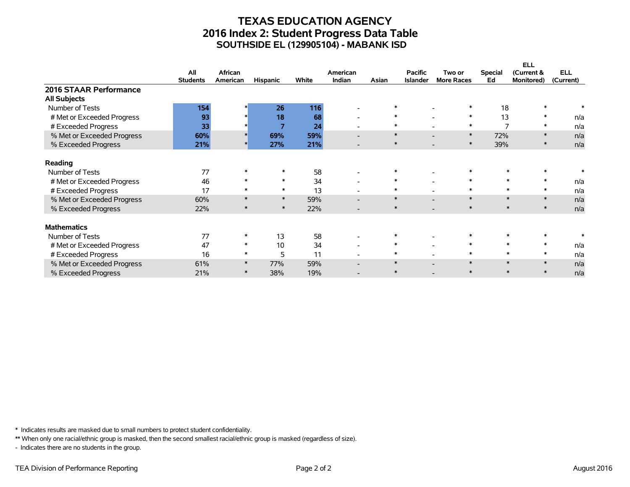# **TEXAS EDUCATION AGENCY 2016 Index 2: Student Progress Data Table SOUTHSIDE EL (129905104) - MABANK ISD**

|                            |                 |          |                 |       |                          |        |                 |                   |                | <b>ELL</b> |            |
|----------------------------|-----------------|----------|-----------------|-------|--------------------------|--------|-----------------|-------------------|----------------|------------|------------|
|                            | All             | African  |                 |       | American                 |        | <b>Pacific</b>  | Two or            | <b>Special</b> | (Current & | <b>ELL</b> |
|                            | <b>Students</b> | American | <b>Hispanic</b> | White | <b>Indian</b>            | Asian  | <b>Islander</b> | <b>More Races</b> | Ed             | Monitored) | (Current)  |
| 2016 STAAR Performance     |                 |          |                 |       |                          |        |                 |                   |                |            |            |
| <b>All Subjects</b>        |                 |          |                 |       |                          |        |                 |                   |                |            |            |
| Number of Tests            | 154             |          | 26              | 116   |                          |        |                 |                   | 18             |            |            |
| # Met or Exceeded Progress | 93              |          | 18              | 68    | $\overline{\phantom{a}}$ | $\ast$ |                 | $\ast$            | 13             | $\ast$     | n/a        |
| # Exceeded Progress        | 33              |          | 7               | 24    | $\overline{\phantom{0}}$ |        |                 | $\ast$            | 7              | ∗          | n/a        |
| % Met or Exceeded Progress | 60%             |          | 69%             | 59%   | $\overline{\phantom{0}}$ | $\ast$ |                 | $\ast$            | 72%            | $\ast$     | n/a        |
| % Exceeded Progress        | 21%             |          | 27%             | 21%   |                          | $\ast$ |                 | $\ast$            | 39%            | $\ast$     | n/a        |
| Reading                    |                 |          |                 |       |                          |        |                 |                   |                |            |            |
| Number of Tests            | 77              |          |                 | 58    |                          |        |                 |                   |                |            |            |
| # Met or Exceeded Progress | 46              |          | $\ast$          | 34    | $\overline{\phantom{a}}$ | $\ast$ |                 | $\ast$            | $\ast$         | $\ast$     | n/a        |
| # Exceeded Progress        | 17              |          | $\ast$          | 13    |                          | $\ast$ |                 | $\ast$            |                | $\ast$     | n/a        |
| % Met or Exceeded Progress | 60%             |          | $\ast$          | 59%   | $\overline{\phantom{0}}$ | $\ast$ |                 | $\ast$            | $\ast$         | $\ast$     | n/a        |
| % Exceeded Progress        | 22%             |          | $\ast$          | 22%   |                          | $\ast$ |                 | $\ast$            | $\ast$         | $\ast$     | n/a        |
| <b>Mathematics</b>         |                 |          |                 |       |                          |        |                 |                   |                |            |            |
| Number of Tests            | 77              |          | 13              | 58    | $\overline{\phantom{a}}$ | $\ast$ |                 |                   |                |            |            |
| # Met or Exceeded Progress | 47              | $\ast$   | 10              | 34    | $\overline{\phantom{0}}$ | $\ast$ |                 | $\ast$            | $\ast$         | $\ast$     | n/a        |
| # Exceeded Progress        | 16              | $\ast$   | 5               | 11    |                          | $\ast$ |                 | $\ast$            | $\ast$         | $\ast$     | n/a        |
| % Met or Exceeded Progress | 61%             | $\ast$   | 77%             | 59%   |                          | $\ast$ |                 | $\ast$            | $\ast$         |            | n/a        |
| % Exceeded Progress        | 21%             |          | 38%             | 19%   |                          | $\ast$ |                 | $\ast$            | $\ast$         |            | n/a        |

\* Indicates results are masked due to small numbers to protect student confidentiality.

\*\* When only one racial/ethnic group is masked, then the second smallest racial/ethnic group is masked (regardless of size).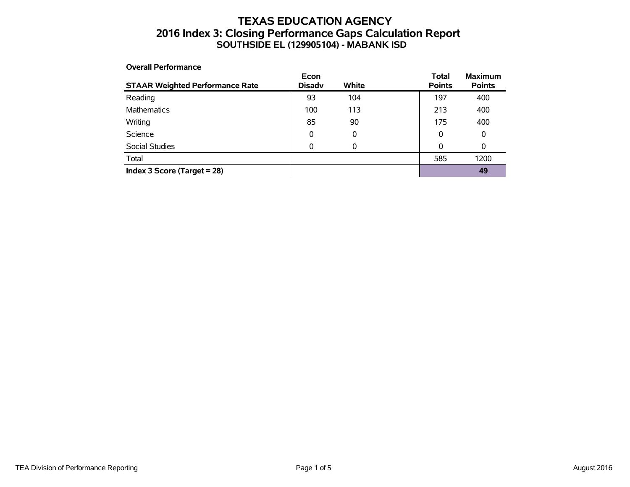# **TEXAS EDUCATION AGENCY 2016 Index 3: Closing Performance Gaps Calculation Report SOUTHSIDE EL (129905104) - MABANK ISD**

#### **Overall Performance**

| <b>STAAR Weighted Performance Rate</b> | Econ<br><b>Disadv</b> | <b>White</b> | <b>Total</b><br><b>Points</b> | <b>Maximum</b><br><b>Points</b> |
|----------------------------------------|-----------------------|--------------|-------------------------------|---------------------------------|
| Reading                                | 93                    | 104          | 197                           | 400                             |
| Mathematics                            | 100                   | 113          | 213                           | 400                             |
| Writing                                | 85                    | 90           | 175                           | 400                             |
| Science                                | 0                     | 0            | 0                             | 0                               |
| Social Studies                         | 0                     | 0            | 0                             | 0                               |
| Total                                  |                       |              | 585                           | 1200                            |
| Index 3 Score (Target $= 28$ )         |                       |              |                               | 49                              |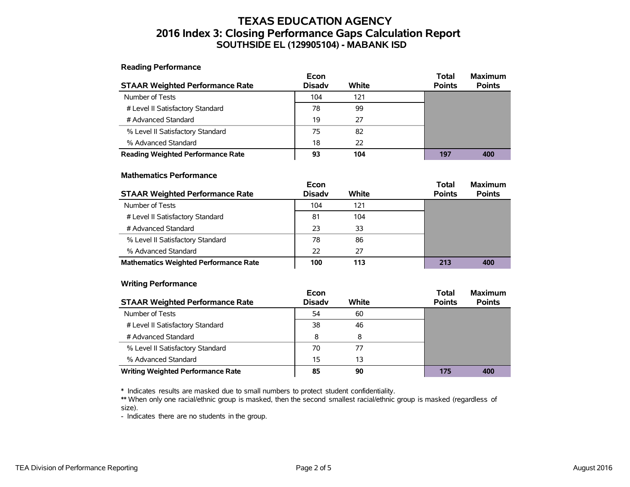# **TEXAS EDUCATION AGENCY 2016 Index 3: Closing Performance Gaps Calculation Report SOUTHSIDE EL (129905104) - MABANK ISD**

**Reading Performance**

|                                          | Econ          |       | Total         | <b>Maximum</b> |
|------------------------------------------|---------------|-------|---------------|----------------|
| <b>STAAR Weighted Performance Rate</b>   | <b>Disadv</b> | White | <b>Points</b> | <b>Points</b>  |
| Number of Tests                          | 104           | 121   |               |                |
| # Level II Satisfactory Standard         | 78            | 99    |               |                |
| # Advanced Standard                      | 19            | 27    |               |                |
| % Level II Satisfactory Standard         | 75            | 82    |               |                |
| % Advanced Standard                      | 18            | 22    |               |                |
| <b>Reading Weighted Performance Rate</b> | 93            | 104   | 197           | 400            |

#### **Mathematics Performance**

|                                              | Econ          |       | <b>Total</b>  | <b>Maximum</b> |
|----------------------------------------------|---------------|-------|---------------|----------------|
| <b>STAAR Weighted Performance Rate</b>       | <b>Disady</b> | White | <b>Points</b> | <b>Points</b>  |
| Number of Tests                              | 104           | 121   |               |                |
| # Level II Satisfactory Standard             | 81            | 104   |               |                |
| # Advanced Standard                          | 23            | 33    |               |                |
| % Level II Satisfactory Standard             | 78            | 86    |               |                |
| % Advanced Standard                          | 22            | 27    |               |                |
| <b>Mathematics Weighted Performance Rate</b> | 100           | 113   | 213           | 400            |

#### **Writing Performance**

|                                          | Econ          |       | <b>Total</b>  | <b>Maximum</b> |
|------------------------------------------|---------------|-------|---------------|----------------|
| <b>STAAR Weighted Performance Rate</b>   | <b>Disady</b> | White | <b>Points</b> | <b>Points</b>  |
| Number of Tests                          | 54            | 60    |               |                |
| # Level II Satisfactory Standard         | 38            | 46    |               |                |
| # Advanced Standard                      | 8             | 8     |               |                |
| % Level II Satisfactory Standard         | 70            | 77    |               |                |
| % Advanced Standard                      | 15            | 13    |               |                |
| <b>Writing Weighted Performance Rate</b> | 85            | 90    | 175           | 400            |

\* Indicates results are masked due to small numbers to protect student confidentiality.

\*\* When only one racial/ethnic group is masked, then the second smallest racial/ethnic group is masked (regardless of size).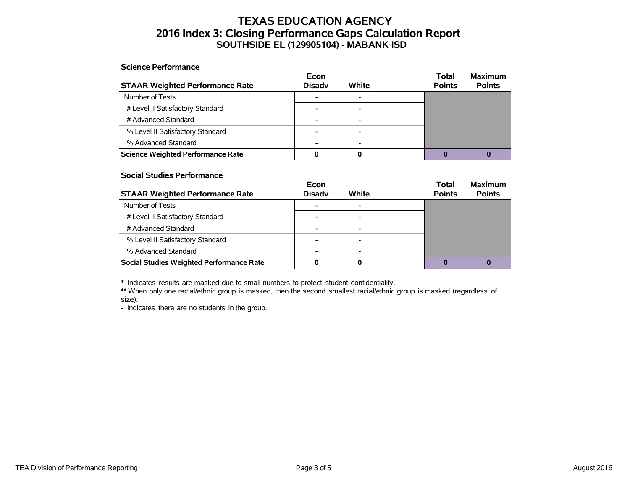# **TEXAS EDUCATION AGENCY 2016 Index 3: Closing Performance Gaps Calculation Report SOUTHSIDE EL (129905104) - MABANK ISD**

#### **Science Performance**

|                                          | Econ          |                          | <b>Total</b>  | <b>Maximum</b> |
|------------------------------------------|---------------|--------------------------|---------------|----------------|
| <b>STAAR Weighted Performance Rate</b>   | <b>Disady</b> | White                    | <b>Points</b> | <b>Points</b>  |
| Number of Tests                          |               |                          |               |                |
| # Level II Satisfactory Standard         |               |                          |               |                |
| # Advanced Standard                      |               |                          |               |                |
| % Level II Satisfactory Standard         |               |                          |               |                |
| % Advanced Standard                      |               | $\overline{\phantom{0}}$ |               |                |
| <b>Science Weighted Performance Rate</b> |               | O                        |               |                |

#### **Social Studies Performance**

|                                                 | Econ          |       | <b>Total</b>  | <b>Maximum</b> |
|-------------------------------------------------|---------------|-------|---------------|----------------|
| <b>STAAR Weighted Performance Rate</b>          | <b>Disadv</b> | White | <b>Points</b> | <b>Points</b>  |
| Number of Tests                                 |               |       |               |                |
| # Level II Satisfactory Standard                |               |       |               |                |
| # Advanced Standard                             |               |       |               |                |
| % Level II Satisfactory Standard                |               |       |               |                |
| % Advanced Standard                             |               |       |               |                |
| <b>Social Studies Weighted Performance Rate</b> |               |       |               |                |

\* Indicates results are masked due to small numbers to protect student confidentiality.

\*\* When only one racial/ethnic group is masked, then the second smallest racial/ethnic group is masked (regardless of size).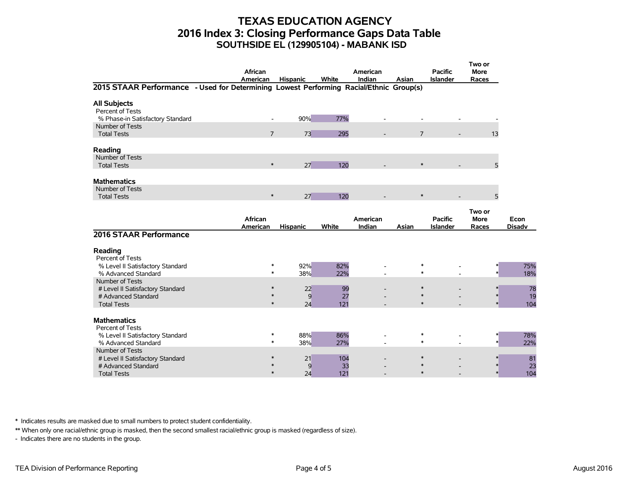# **TEXAS EDUCATION AGENCY 2016 Index 3: Closing Performance Gaps Data Table SOUTHSIDE EL (129905104) - MABANK ISD**

|                                                                                        | <b>African</b><br>American |                            | <b>Hispanic</b>      | White      | American<br>Indian | Asian                      | <b>Pacific</b><br><b>Islander</b> | Two or<br><b>More</b><br>Races |                       |
|----------------------------------------------------------------------------------------|----------------------------|----------------------------|----------------------|------------|--------------------|----------------------------|-----------------------------------|--------------------------------|-----------------------|
| 2015 STAAR Performance - Used for Determining Lowest Performing Racial/Ethnic Group(s) |                            |                            |                      |            |                    |                            |                                   |                                |                       |
| <b>All Subjects</b><br>Percent of Tests<br>% Phase-in Satisfactory Standard            |                            | $\overline{\phantom{a}}$   | 90%                  | 77%        |                    |                            |                                   |                                |                       |
| Number of Tests<br><b>Total Tests</b>                                                  |                            | $\overline{7}$             | 73                   | 295        |                    | $\overline{7}$             |                                   | 13                             |                       |
| Reading<br>Number of Tests                                                             |                            |                            |                      |            |                    |                            |                                   |                                |                       |
| <b>Total Tests</b>                                                                     |                            | $\ast$                     | 27                   | 120        |                    | $\ast$                     |                                   | 5                              |                       |
| <b>Mathematics</b><br>Number of Tests                                                  |                            |                            |                      |            |                    |                            |                                   |                                |                       |
| <b>Total Tests</b>                                                                     |                            | $\ast$                     | 27                   | 120        |                    | $\ast$                     |                                   | 5                              |                       |
|                                                                                        | African<br>American        |                            | <b>Hispanic</b>      | White      | American<br>Indian | Asian                      | <b>Pacific</b><br><b>Islander</b> | Two or<br><b>More</b><br>Races | Econ<br><b>Disadv</b> |
| 2016 STAAR Performance                                                                 |                            |                            |                      |            |                    |                            |                                   |                                |                       |
| Reading<br>Percent of Tests                                                            |                            |                            |                      |            |                    |                            |                                   |                                |                       |
| % Level II Satisfactory Standard<br>% Advanced Standard                                |                            | ∗<br>$\ast$                | 92%<br>38%           | 82%<br>22% |                    | $\ast$<br>$\ast$           |                                   |                                | 75%<br>18%            |
| Number of Tests<br># Level II Satisfactory Standard<br># Advanced Standard             |                            | $\ast$<br>$\ast$<br>$\ast$ | 22<br>$\overline{9}$ | 99<br>27   |                    | $\ast$<br>$\ast$<br>$\ast$ |                                   |                                | 78<br>19              |
| <b>Total Tests</b><br><b>Mathematics</b>                                               |                            |                            | 24                   | 121        |                    |                            |                                   |                                | 104                   |
| Percent of Tests<br>% Level II Satisfactory Standard<br>% Advanced Standard            |                            | $\ast$<br>$\ast$           | 88%<br>38%           | 86%<br>27% |                    | $\ast$<br>$\ast$           |                                   |                                | 78%<br>22%            |
| Number of Tests<br># Level II Satisfactory Standard<br># Advanced Standard             |                            |                            | 21<br>9              | 104<br>33  |                    |                            |                                   |                                | 81<br>23              |
| <b>Total Tests</b>                                                                     |                            | $\ast$                     | 24                   | 121        |                    | $\ast$                     |                                   |                                | 104                   |

\* Indicates results are masked due to small numbers to protect student confidentiality.

\*\* When only one racial/ethnic group is masked, then the second smallest racial/ethnic group is masked (regardless of size).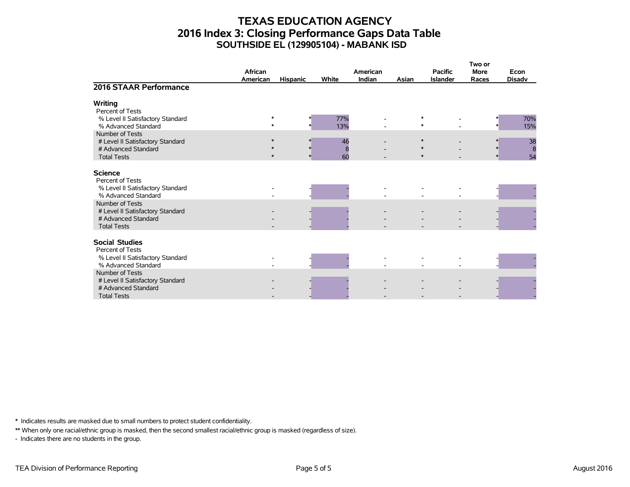# **TEXAS EDUCATION AGENCY 2016 Index 3: Closing Performance Gaps Data Table SOUTHSIDE EL (129905104) - MABANK ISD**

|                                                                                                                         | African<br><b>American</b> | <b>Hispanic</b> | White         | American<br>Indian | Asian | <b>Pacific</b><br><b>Islander</b> | Two or<br><b>More</b><br>Races | Econ<br><b>Disadv</b> |
|-------------------------------------------------------------------------------------------------------------------------|----------------------------|-----------------|---------------|--------------------|-------|-----------------------------------|--------------------------------|-----------------------|
| 2016 STAAR Performance                                                                                                  |                            |                 |               |                    |       |                                   |                                |                       |
| <b>Writing</b><br>Percent of Tests                                                                                      | *                          |                 |               |                    |       | $\ast$                            |                                |                       |
| % Level II Satisfactory Standard<br>% Advanced Standard                                                                 | $\ast$                     |                 | 77%<br>13%    |                    |       | $\ast$                            |                                | 70%<br>15%            |
| Number of Tests<br># Level II Satisfactory Standard<br># Advanced Standard<br><b>Total Tests</b>                        | $\ast$<br>$\ast$<br>$*$    |                 | 46<br>8<br>60 |                    |       | $\ast$<br>∗<br>$*$                |                                | 38<br>8<br>54         |
| <b>Science</b><br>Percent of Tests<br>% Level II Satisfactory Standard                                                  |                            |                 |               |                    |       |                                   |                                |                       |
| % Advanced Standard<br>Number of Tests<br># Level II Satisfactory Standard<br># Advanced Standard<br><b>Total Tests</b> |                            |                 |               |                    |       |                                   |                                |                       |
| <b>Social Studies</b><br>Percent of Tests<br>% Level II Satisfactory Standard                                           |                            |                 |               |                    |       |                                   |                                |                       |
| % Advanced Standard<br>Number of Tests                                                                                  |                            |                 |               |                    |       |                                   |                                |                       |
| # Level II Satisfactory Standard<br># Advanced Standard<br><b>Total Tests</b>                                           |                            |                 |               |                    |       |                                   |                                |                       |

\* Indicates results are masked due to small numbers to protect student confidentiality.

\*\* When only one racial/ethnic group is masked, then the second smallest racial/ethnic group is masked (regardless of size).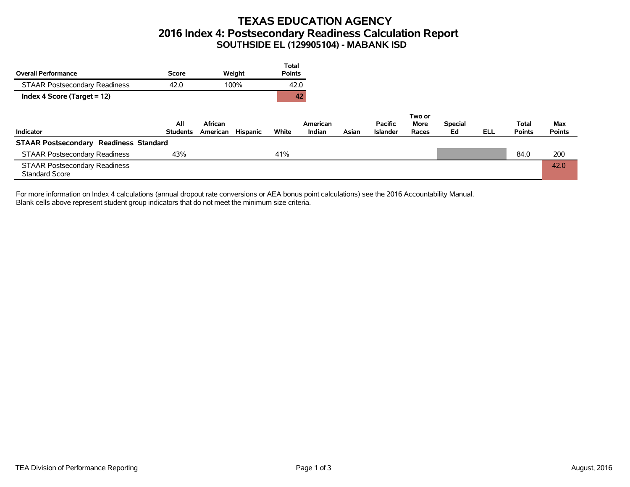# **TEXAS EDUCATION AGENCY 2016 Index 4: Postsecondary Readiness Calculation Report SOUTHSIDE EL (129905104) - MABANK ISD**

| <b>Overall Performance</b>                                    | Score                  | Weight                          | <b>Total</b><br><b>Points</b> |                    |       |                                   |                         |                      |            |                               |                      |
|---------------------------------------------------------------|------------------------|---------------------------------|-------------------------------|--------------------|-------|-----------------------------------|-------------------------|----------------------|------------|-------------------------------|----------------------|
| <b>STAAR Postsecondary Readiness</b>                          | 42.0                   | 100%                            | 42.0                          |                    |       |                                   |                         |                      |            |                               |                      |
| Index 4 Score (Target = 12)                                   |                        |                                 | 42                            |                    |       |                                   |                         |                      |            |                               |                      |
| Indicator                                                     | All<br><b>Students</b> | African<br>Hispanic<br>American | White                         | American<br>Indian | Asian | <b>Pacific</b><br><b>Islander</b> | Two or<br>More<br>Races | <b>Special</b><br>Ed | <b>ELL</b> | <b>Total</b><br><b>Points</b> | Max<br><b>Points</b> |
| <b>STAAR Postsecondary Readiness Standard</b>                 |                        |                                 |                               |                    |       |                                   |                         |                      |            |                               |                      |
| <b>STAAR Postsecondary Readiness</b>                          | 43%                    |                                 | 41%                           |                    |       |                                   |                         |                      |            | 84.0                          | 200                  |
| <b>STAAR Postsecondary Readiness</b><br><b>Standard Score</b> |                        |                                 |                               |                    |       |                                   |                         |                      |            |                               | 42.0                 |

For more information on Index 4 calculations (annual dropout rate conversions or AEA bonus point calculations) see the 2016 Accountability Manual. Blank cells above represent student group indicators that do not meet the minimum size criteria.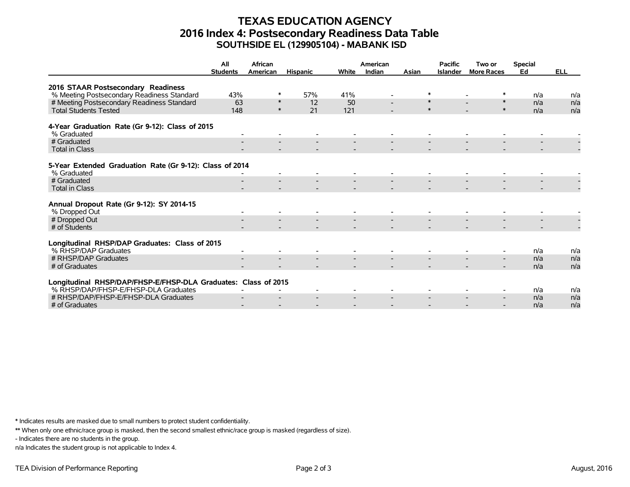# **TEXAS EDUCATION AGENCY 2016 Index 4: Postsecondary Readiness Data Table SOUTHSIDE EL (129905104) - MABANK ISD**

|                                                                         | All<br><b>Students</b> | African<br>American | <b>Hispanic</b> | <b>White</b> | American<br>Indian | Asian  | <b>Pacific</b><br><b>Islander</b> | Two or<br><b>More Races</b> | <b>Special</b><br>Ed | <b>ELL</b> |
|-------------------------------------------------------------------------|------------------------|---------------------|-----------------|--------------|--------------------|--------|-----------------------------------|-----------------------------|----------------------|------------|
|                                                                         |                        |                     |                 |              |                    |        |                                   |                             |                      |            |
| 2016 STAAR Postsecondary Readiness                                      |                        |                     |                 |              |                    |        |                                   |                             |                      |            |
| % Meeting Postsecondary Readiness Standard                              | 43%                    | ∗                   | 57%             | 41%          |                    | ∗      |                                   |                             | n/a                  | n/a        |
| # Meeting Postsecondary Readiness Standard                              | 63                     | $\ast$              | 12              | 50           |                    | $\ast$ |                                   | $\ast$                      | n/a                  | n/a        |
| <b>Total Students Tested</b>                                            | 148                    | $\ast$              | 21              | 121          |                    | $\ast$ |                                   | $\ast$                      | n/a                  | n/a        |
|                                                                         |                        |                     |                 |              |                    |        |                                   |                             |                      |            |
| 4-Year Graduation Rate (Gr 9-12): Class of 2015<br>% Graduated          |                        |                     |                 |              |                    |        |                                   |                             |                      |            |
| # Graduated                                                             |                        |                     |                 |              |                    |        |                                   |                             |                      |            |
| <b>Total in Class</b>                                                   |                        |                     |                 |              |                    |        |                                   |                             |                      |            |
|                                                                         |                        |                     |                 |              |                    |        |                                   |                             |                      |            |
| 5-Year Extended Graduation Rate (Gr 9-12): Class of 2014<br>% Graduated |                        |                     |                 |              |                    |        |                                   |                             |                      |            |
| # Graduated                                                             |                        |                     |                 |              |                    |        |                                   |                             |                      |            |
| <b>Total in Class</b>                                                   |                        |                     |                 |              |                    |        |                                   |                             |                      |            |
|                                                                         |                        |                     |                 |              |                    |        |                                   |                             |                      |            |
| Annual Dropout Rate (Gr 9-12): SY 2014-15                               |                        |                     |                 |              |                    |        |                                   |                             |                      |            |
| % Dropped Out                                                           |                        |                     |                 |              |                    |        |                                   |                             |                      |            |
| # Dropped Out                                                           |                        |                     |                 |              |                    |        |                                   |                             |                      |            |
| # of Students                                                           |                        |                     |                 |              |                    |        |                                   |                             |                      |            |
| Longitudinal RHSP/DAP Graduates: Class of 2015                          |                        |                     |                 |              |                    |        |                                   |                             |                      |            |
| % RHSP/DAP Graduates                                                    |                        |                     |                 |              |                    |        |                                   |                             | n/a                  | n/a        |
| # RHSP/DAP Graduates                                                    |                        |                     |                 |              |                    |        |                                   |                             | n/a                  | n/a        |
| # of Graduates                                                          |                        |                     |                 |              |                    |        |                                   |                             | n/a                  | n/a        |
|                                                                         |                        |                     |                 |              |                    |        |                                   |                             |                      |            |
| Longitudinal RHSP/DAP/FHSP-E/FHSP-DLA Graduates: Class of 2015          |                        |                     |                 |              |                    |        |                                   |                             |                      |            |
| % RHSP/DAP/FHSP-E/FHSP-DLA Graduates                                    |                        |                     |                 |              |                    |        |                                   |                             | n/a                  | n/a        |
| # RHSP/DAP/FHSP-E/FHSP-DLA Graduates                                    |                        |                     |                 |              |                    |        |                                   |                             | n/a                  | n/a        |
| # of Graduates                                                          |                        |                     |                 |              |                    |        |                                   |                             | n/a                  | n/a        |

\* Indicates results are masked due to small numbers to protect student confidentiality.

\*\* When only one ethnic/race group is masked, then the second smallest ethnic/race group is masked (regardless of size).

- Indicates there are no students in the group.

n/a Indicates the student group is not applicable to Index 4.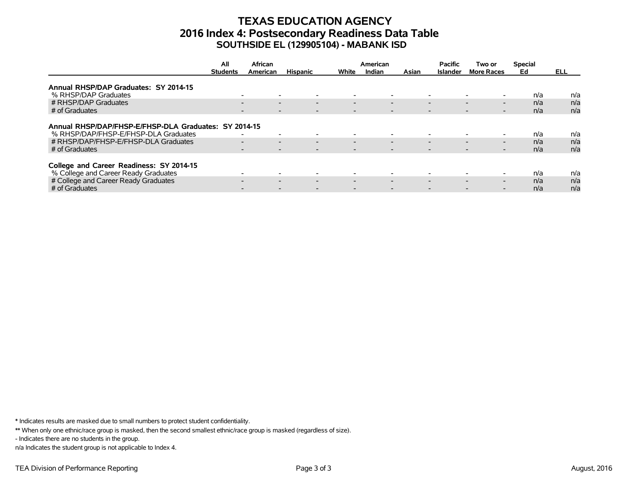# **TEXAS EDUCATION AGENCY 2016 Index 4: Postsecondary Readiness Data Table SOUTHSIDE EL (129905104) - MABANK ISD**

|                                                                                                                                                         | All<br>African  |                                                                                                                                                                      |                          | American                                             |                                                                                  |       | Two or                                                                           | <b>Special</b>                                                                        |                   |                   |
|---------------------------------------------------------------------------------------------------------------------------------------------------------|-----------------|----------------------------------------------------------------------------------------------------------------------------------------------------------------------|--------------------------|------------------------------------------------------|----------------------------------------------------------------------------------|-------|----------------------------------------------------------------------------------|---------------------------------------------------------------------------------------|-------------------|-------------------|
|                                                                                                                                                         | <b>Students</b> | American                                                                                                                                                             | <b>Hispanic</b>          | White                                                | Indian                                                                           | Asian | <b>Islander</b>                                                                  | <b>More Races</b>                                                                     | Ed                | ELL.              |
| Annual RHSP/DAP Graduates: SY 2014-15                                                                                                                   |                 |                                                                                                                                                                      |                          |                                                      |                                                                                  |       |                                                                                  |                                                                                       |                   |                   |
| % RHSP/DAP Graduates                                                                                                                                    |                 | $\overline{\phantom{0}}$                                                                                                                                             |                          |                                                      | $\overline{\phantom{0}}$                                                         |       | $\overline{\phantom{a}}$                                                         |                                                                                       | n/a               | n/a               |
| # RHSP/DAP Graduates                                                                                                                                    |                 | $\overline{\phantom{0}}$<br>$\overline{\phantom{0}}$                                                                                                                 | $\overline{\phantom{0}}$ | $\overline{\phantom{0}}$                             | $\overline{\phantom{0}}$                                                         |       | $\overline{\phantom{0}}$                                                         | $\overline{\phantom{0}}$<br>$\overline{\phantom{0}}$                                  | n/a               | n/a               |
| # of Graduates                                                                                                                                          |                 | $\overline{\phantom{a}}$                                                                                                                                             |                          |                                                      | $\overline{\phantom{0}}$                                                         |       | $\overline{\phantom{a}}$                                                         | $\overline{\phantom{0}}$                                                              | n/a               | n/a               |
| Annual RHSP/DAP/FHSP-E/FHSP-DLA Graduates: SY 2014-15<br>% RHSP/DAP/FHSP-E/FHSP-DLA Graduates<br># RHSP/DAP/FHSP-E/FHSP-DLA Graduates<br># of Graduates |                 | $\overline{\phantom{a}}$<br>$\overline{\phantom{0}}$<br>$\overline{\phantom{0}}$<br>$\overline{\phantom{0}}$<br>$\overline{\phantom{a}}$<br>$\overline{\phantom{0}}$ | $\overline{\phantom{0}}$ | $\overline{\phantom{0}}$<br>$\overline{\phantom{0}}$ | $\overline{\phantom{0}}$<br>$\overline{\phantom{0}}$<br>$\overline{\phantom{0}}$ |       | $\overline{\phantom{a}}$<br>$\overline{\phantom{0}}$<br>$\overline{\phantom{0}}$ | $\overline{\phantom{0}}$<br>$\overline{\phantom{0}}$<br>$\overline{\phantom{0}}$<br>- | n/a<br>n/a<br>n/a | n/a<br>n/a<br>n/a |
| College and Career Readiness: SY 2014-15<br>% College and Career Ready Graduates                                                                        |                 |                                                                                                                                                                      |                          |                                                      |                                                                                  |       | $\overline{\phantom{a}}$                                                         |                                                                                       | n/a               | n/a               |
| # College and Career Ready Graduates                                                                                                                    |                 | $\sim$<br>$\overline{\phantom{0}}$                                                                                                                                   | $\overline{\phantom{0}}$ | $\overline{\phantom{0}}$                             | $\overline{\phantom{0}}$                                                         |       | $\overline{\phantom{0}}$                                                         | $\overline{\phantom{0}}$<br>$\overline{\phantom{0}}$                                  | n/a               | n/a               |
| # of Graduates                                                                                                                                          |                 |                                                                                                                                                                      |                          |                                                      |                                                                                  |       |                                                                                  |                                                                                       | n/a               | n/a               |

\* Indicates results are masked due to small numbers to protect student confidentiality.

\*\* When only one ethnic/race group is masked, then the second smallest ethnic/race group is masked (regardless of size).

- Indicates there are no students in the group.

n/a Indicates the student group is not applicable to Index 4.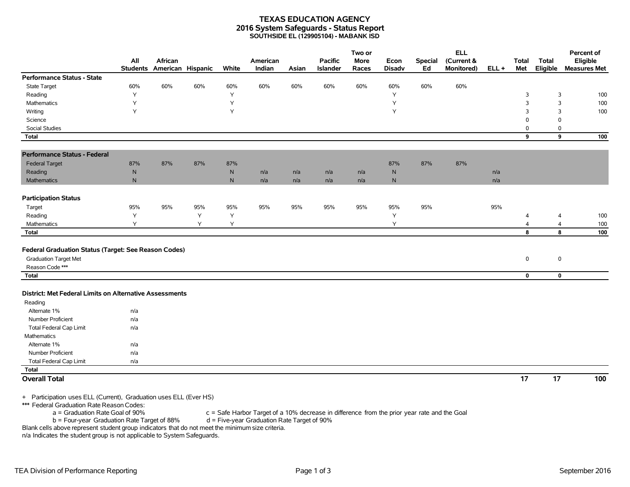#### **TEXAS EDUCATION AGENCY 2016 System Safeguards - Status Report SOUTHSIDE EL (129905104) - MABANK ISD**

|                                                                                                         | All             | African           |     |              | American |       | <b>Pacific</b> | Two or<br><b>More</b> | Econ          | <b>Special</b> | <b>ELL</b><br>(Current & |         | <b>Total</b>   | <b>Total</b> | Percent of<br>Eligible |
|---------------------------------------------------------------------------------------------------------|-----------------|-------------------|-----|--------------|----------|-------|----------------|-----------------------|---------------|----------------|--------------------------|---------|----------------|--------------|------------------------|
|                                                                                                         | <b>Students</b> | American Hispanic |     | White        | Indian   | Asian | Islander       | Races                 | <b>Disadv</b> | Ed             | Monitored)               | $ELL +$ | Met            | Eligible     | <b>Measures Met</b>    |
| Performance Status - State                                                                              |                 |                   |     |              |          |       |                |                       |               |                |                          |         |                |              |                        |
| <b>State Target</b>                                                                                     | 60%             | 60%               | 60% | 60%          | 60%      | 60%   | 60%            | 60%                   | 60%           | 60%            | 60%                      |         |                |              |                        |
| Reading                                                                                                 | Y               |                   |     | Y            |          |       |                |                       | Υ             |                |                          |         | 3              | 3            | 100                    |
| <b>Mathematics</b>                                                                                      | Y               |                   |     | Y            |          |       |                |                       | Y             |                |                          |         | 3              | 3            | 100                    |
| Writing                                                                                                 | Y               |                   |     | Y            |          |       |                |                       | Y             |                |                          |         | 3              | 3            | 100                    |
| Science                                                                                                 |                 |                   |     |              |          |       |                |                       |               |                |                          |         | 0              | $\mathbf 0$  |                        |
| <b>Social Studies</b>                                                                                   |                 |                   |     |              |          |       |                |                       |               |                |                          |         | 0              | $\mathbf 0$  |                        |
| Total                                                                                                   |                 |                   |     |              |          |       |                |                       |               |                |                          |         | 9              | 9            | 100                    |
| <b>Performance Status - Federal</b>                                                                     |                 |                   |     |              |          |       |                |                       |               |                |                          |         |                |              |                        |
| <b>Federal Target</b>                                                                                   | 87%             | 87%               | 87% | 87%          |          |       |                |                       | 87%           | 87%            | 87%                      |         |                |              |                        |
| Reading                                                                                                 | ${\sf N}$       |                   |     | ${\sf N}$    | n/a      | n/a   | n/a            | n/a                   | ${\sf N}$     |                |                          | n/a     |                |              |                        |
| <b>Mathematics</b>                                                                                      | ${\sf N}$       |                   |     | $\mathsf{N}$ | n/a      | n/a   | n/a            | n/a                   | N             |                |                          | n/a     |                |              |                        |
| <b>Participation Status</b>                                                                             |                 |                   |     |              |          |       |                |                       |               |                |                          |         |                |              |                        |
| Target                                                                                                  | 95%             | 95%               | 95% | 95%          | 95%      | 95%   | 95%            | 95%                   | 95%           | 95%            |                          | 95%     |                |              |                        |
| Reading                                                                                                 | Y               |                   | Y   | Y            |          |       |                |                       | Y             |                |                          |         | 4              | 4            | 100                    |
| Mathematics                                                                                             | Υ               |                   | Y   | Y            |          |       |                |                       | Υ             |                |                          |         | $\overline{4}$ | 4            | 100                    |
| <b>Total</b>                                                                                            |                 |                   |     |              |          |       |                |                       |               |                |                          |         | 8              | 8            | 100                    |
| Federal Graduation Status (Target: See Reason Codes)<br><b>Graduation Target Met</b><br>Reason Code *** |                 |                   |     |              |          |       |                |                       |               |                |                          |         | 0              | $\mathbf 0$  |                        |
| <b>Total</b>                                                                                            |                 |                   |     |              |          |       |                |                       |               |                |                          |         | $\mathbf 0$    | $\mathbf 0$  |                        |
| District: Met Federal Limits on Alternative Assessments<br>Reading                                      |                 |                   |     |              |          |       |                |                       |               |                |                          |         |                |              |                        |
| Alternate 1%                                                                                            | n/a             |                   |     |              |          |       |                |                       |               |                |                          |         |                |              |                        |
| <b>Number Proficient</b>                                                                                | n/a             |                   |     |              |          |       |                |                       |               |                |                          |         |                |              |                        |
| Total Federal Cap Limit                                                                                 | n/a             |                   |     |              |          |       |                |                       |               |                |                          |         |                |              |                        |
| <b>Mathematics</b>                                                                                      |                 |                   |     |              |          |       |                |                       |               |                |                          |         |                |              |                        |
| Alternate 1%                                                                                            | n/a             |                   |     |              |          |       |                |                       |               |                |                          |         |                |              |                        |
| Number Proficient                                                                                       | n/a             |                   |     |              |          |       |                |                       |               |                |                          |         |                |              |                        |
| <b>Total Federal Cap Limit</b>                                                                          | n/a             |                   |     |              |          |       |                |                       |               |                |                          |         |                |              |                        |
| Total                                                                                                   |                 |                   |     |              |          |       |                |                       |               |                |                          |         |                |              |                        |
| <b>Overall Total</b><br>+ Participation uses ELL (Current) Graduation uses ELL (Ever HS)                |                 |                   |     |              |          |       |                |                       |               |                |                          |         | 17             | 17           | 100                    |

+ Participation uses ELL (Current), Graduation uses ELL (Ever HS)

\*\*\* Federal Graduation Rate Reason Codes:

a = Graduation Rate Goal of 90% c = Safe Harbor Target of a 10% decrease in difference from the prior year rate and the Goal

b = Four-year Graduation Rate Target of 88% d = Five-year Graduation Rate Target of 90%

Blank cells above represent student group indicators that do not meet the minimum size criteria.

n/a Indicates the student group is not applicable to System Safeguards.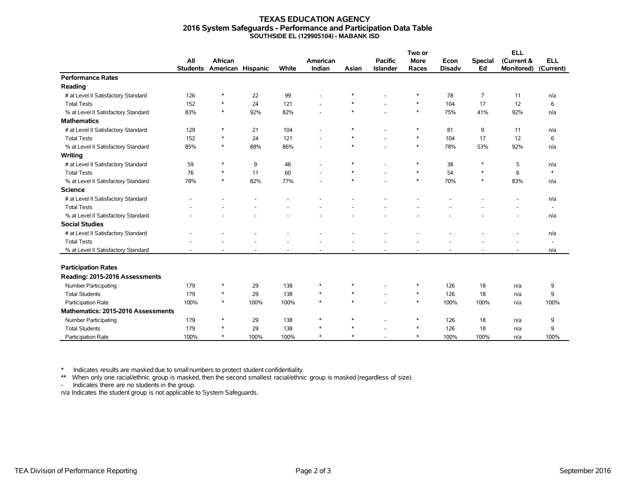#### **TEXAS EDUCATION AGENCY 2016 System Safeguards - Performance and Participation Data Table SOUTHSIDE EL (129905104) - MABANK ISD**

|                                     |                 |                   |      |       |          |        |                 | Two or      |               |                |                   |                          |
|-------------------------------------|-----------------|-------------------|------|-------|----------|--------|-----------------|-------------|---------------|----------------|-------------------|--------------------------|
|                                     | All             | African           |      |       | American |        | <b>Pacific</b>  | <b>More</b> | Econ          | <b>Special</b> | (Current &        | <b>ELL</b>               |
|                                     | <b>Students</b> | American Hispanic |      | White | Indian   | Asian  | <b>Islander</b> | Races       | <b>Disady</b> | Ed             | <b>Monitored)</b> | (Current)                |
| <b>Performance Rates</b>            |                 |                   |      |       |          |        |                 |             |               |                |                   |                          |
| Reading                             |                 |                   |      |       |          |        |                 |             |               |                |                   |                          |
| # at Level II Satisfactory Standard | 126             | $\ast$            | 22   | 99    |          |        |                 | $\ast$      | 78            | 7              | 11                | n/a                      |
| <b>Total Tests</b>                  | 152             | $\ast$            | 24   | 121   |          |        |                 | $\ast$      | 104           | 17             | 12                | 6                        |
| % at Level II Satisfactory Standard | 83%             | $\ast$            | 92%  | 82%   |          | $\ast$ |                 | $\ast$      | 75%           | 41%            | 92%               | n/a                      |
| <b>Mathematics</b>                  |                 |                   |      |       |          |        |                 |             |               |                |                   |                          |
| # at Level II Satisfactory Standard | 129             | $\ast$            | 21   | 104   | ٠        | $\ast$ | ٠               | $\ast$      | 81            | 9              | 11                | n/a                      |
| <b>Total Tests</b>                  | 152             | $\ast$            | 24   | 121   |          | $\ast$ |                 | $\ast$      | 104           | 17             | 12                | 6                        |
| % at Level II Satisfactory Standard | 85%             | $\ast$            | 88%  | 86%   |          | $\ast$ |                 | $\ast$      | 78%           | 53%            | 92%               | n/a                      |
| Writing                             |                 |                   |      |       |          |        |                 |             |               |                |                   |                          |
| # at Level II Satisfactory Standard | 59              | $\ast$            | 9    | 46    |          | $\ast$ |                 | $\ast$      | 38            | $\ast$         | 5                 | n/a                      |
| <b>Total Tests</b>                  | 76              | $\ast$            | 11   | 60    |          | $\ast$ |                 | $\ast$      | 54            | $\ast$         | 6                 | $\ast$                   |
| % at Level II Satisfactory Standard | 78%             | $\ast$            | 82%  | 77%   |          | $\ast$ |                 | $\ast$      | 70%           | $\ast$         | 83%               | n/a                      |
| <b>Science</b>                      |                 |                   |      |       |          |        |                 |             |               |                |                   |                          |
| # at Level II Satisfactory Standard |                 |                   |      |       |          |        |                 |             |               |                |                   | n/a                      |
| <b>Total Tests</b>                  |                 |                   |      |       |          |        |                 |             |               |                |                   | $\sim$                   |
| % at Level II Satisfactory Standard |                 |                   |      |       |          |        |                 |             |               |                |                   | n/a                      |
| <b>Social Studies</b>               |                 |                   |      |       |          |        |                 |             |               |                |                   |                          |
| # at Level II Satisfactory Standard |                 |                   |      |       |          |        |                 |             |               |                |                   | n/a                      |
| <b>Total Tests</b>                  |                 |                   |      |       |          |        |                 |             |               |                |                   | $\overline{\phantom{a}}$ |
| % at Level II Satisfactory Standard |                 |                   |      |       |          |        |                 |             |               |                |                   | n/a                      |
|                                     |                 |                   |      |       |          |        |                 |             |               |                |                   |                          |
| <b>Participation Rates</b>          |                 |                   |      |       |          |        |                 |             |               |                |                   |                          |
| Reading: 2015-2016 Assessments      |                 |                   |      |       |          |        |                 |             |               |                |                   |                          |
| Number Participating                | 179             | $\ast$            | 29   | 138   | $\ast$   | $\ast$ |                 | $\ast$      | 126           | 18             | n/a               | 9                        |
| <b>Total Students</b>               | 179             | $\ast$            | 29   | 138   | $\ast$   | $\ast$ |                 | $\ast$      | 126           | 18             | n/a               | 9                        |
| Participation Rate                  | 100%            | $\ast$            | 100% | 100%  | $\ast$   | $\ast$ |                 | $\ast$      | 100%          | 100%           | n/a               | 100%                     |
| Mathematics: 2015-2016 Assessments  |                 |                   |      |       |          |        |                 |             |               |                |                   |                          |
| Number Participating                | 179             | $\ast$            | 29   | 138   | $\ast$   | $\ast$ |                 | $\ast$      | 126           | 18             | n/a               | 9                        |
| <b>Total Students</b>               | 179             | $\ast$            | 29   | 138   | $\ast$   | $\ast$ |                 | $\ast$      | 126           | 18             | n/a               | 9                        |
| Participation Rate                  | 100%            | $\ast$            | 100% | 100%  | $\ast$   | $\ast$ |                 | $\ast$      | 100%          | 100%           | n/a               | 100%                     |

\* Indicates results are masked due to smallnumbers to protect student confidentiality.

\*\* When only one racial/ethnic group is masked, then the second smallest racial/ethnic group is masked (regardless of size).

- Indicates there are no students in the group.

n/a Indicates the student group is not applicable to System Safeguards.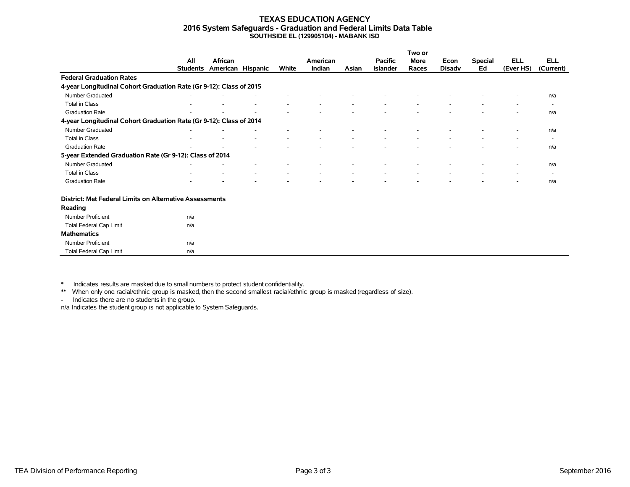#### **TEXAS EDUCATION AGENCY 2016 System Safeguards - Graduation and Federal Limits Data Table SOUTHSIDE EL (129905104) - MABANK ISD**

|                                                                     |                 |                   |   |                          |          |       |                 | Two or                   |                          |                          |           |                          |
|---------------------------------------------------------------------|-----------------|-------------------|---|--------------------------|----------|-------|-----------------|--------------------------|--------------------------|--------------------------|-----------|--------------------------|
|                                                                     | All             | African           |   |                          | American |       | <b>Pacific</b>  | More                     | Econ                     | <b>Special</b>           | ELL       | <b>ELL</b>               |
|                                                                     | <b>Students</b> | American Hispanic |   | White                    | Indian   | Asian | <b>Islander</b> | Races                    | <b>Disady</b>            | Ed                       | (Ever HS) | (Current)                |
| <b>Federal Graduation Rates</b>                                     |                 |                   |   |                          |          |       |                 |                          |                          |                          |           |                          |
| 4-year Longitudinal Cohort Graduation Rate (Gr 9-12): Class of 2015 |                 |                   |   |                          |          |       |                 |                          |                          |                          |           |                          |
| Number Graduated                                                    |                 |                   |   |                          |          |       |                 |                          |                          |                          | ۰         | n/a                      |
| Total in Class                                                      |                 |                   | ٠ | $\overline{\phantom{a}}$ | ۰        |       |                 | $\overline{\phantom{a}}$ | $\overline{\phantom{a}}$ | $\overline{\phantom{a}}$ | ٠         | $\overline{\phantom{a}}$ |
| <b>Graduation Rate</b>                                              |                 |                   |   |                          |          |       |                 |                          |                          |                          |           | n/a                      |
| 4-year Longitudinal Cohort Graduation Rate (Gr 9-12): Class of 2014 |                 |                   |   |                          |          |       |                 |                          |                          |                          |           |                          |
| Number Graduated                                                    |                 |                   |   |                          |          |       |                 |                          |                          |                          | $\sim$    | n/a                      |
| Total in Class                                                      |                 |                   |   | $\overline{\phantom{a}}$ |          |       |                 |                          |                          |                          | -         | $\overline{\phantom{0}}$ |
| <b>Graduation Rate</b>                                              | -               |                   |   |                          |          |       |                 |                          |                          |                          | ۰         | n/a                      |
| 5-year Extended Graduation Rate (Gr 9-12): Class of 2014            |                 |                   |   |                          |          |       |                 |                          |                          |                          |           |                          |
| Number Graduated                                                    |                 |                   |   |                          |          |       |                 |                          |                          |                          |           | n/a                      |
| Total in Class                                                      | ۰               |                   | ۰ | $\overline{\phantom{a}}$ | ۰        |       |                 | $\overline{\phantom{a}}$ | $\sim$                   | $\overline{\phantom{a}}$ | ٠         | $\overline{\phantom{0}}$ |
| <b>Graduation Rate</b>                                              |                 |                   |   |                          |          |       |                 |                          |                          |                          |           | n/a                      |

#### **District: Met Federal Limits on Alternative Assessments**

| Reading                        |     |  |
|--------------------------------|-----|--|
| Number Proficient              | n/a |  |
| <b>Total Federal Cap Limit</b> | n/a |  |
| <b>Mathematics</b>             |     |  |
| Number Proficient              | n/a |  |
| <b>Total Federal Cap Limit</b> | n/a |  |

\* Indicates results are masked due to smallnumbers to protect student confidentiality.

\*\* When only one racial/ethnic group is masked, then the second smallest racial/ethnic group is masked (regardless of size).

- Indicates there are no students in the group.

n/a Indicates the student group is not applicable to System Safeguards.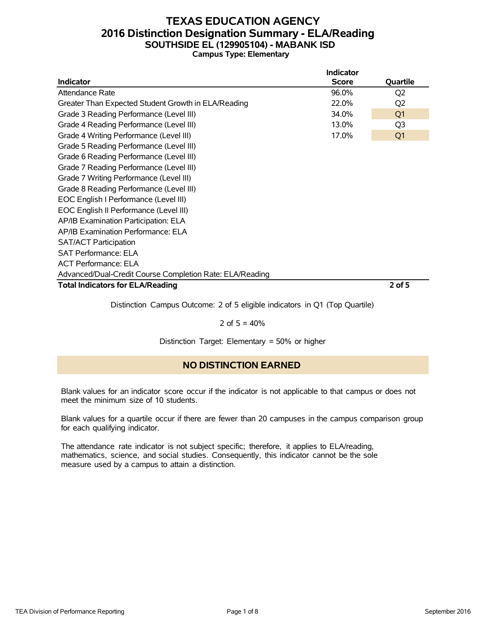### **TEXAS EDUCATION AGENCY 2016 Distinction Designation Summary - ELA/Reading SOUTHSIDE EL (129905104) - MABANK ISD Campus Type: Elementary**

|                                                          | <b>Indicator</b> |                |
|----------------------------------------------------------|------------------|----------------|
| <b>Indicator</b>                                         | <b>Score</b>     | Quartile       |
| Attendance Rate                                          | 96.0%            | Q <sub>2</sub> |
| Greater Than Expected Student Growth in ELA/Reading      | 22.0%            | Q <sub>2</sub> |
| Grade 3 Reading Performance (Level III)                  | 34.0%            | Q <sub>1</sub> |
| Grade 4 Reading Performance (Level III)                  | 13.0%            | Q3             |
| Grade 4 Writing Performance (Level III)                  | 17.0%            | Q <sub>1</sub> |
| Grade 5 Reading Performance (Level III)                  |                  |                |
| Grade 6 Reading Performance (Level III)                  |                  |                |
| Grade 7 Reading Performance (Level III)                  |                  |                |
| Grade 7 Writing Performance (Level III)                  |                  |                |
| Grade 8 Reading Performance (Level III)                  |                  |                |
| EOC English I Performance (Level III)                    |                  |                |
| EOC English II Performance (Level III)                   |                  |                |
| AP/IB Examination Participation: ELA                     |                  |                |
| AP/IB Examination Performance: ELA                       |                  |                |
| <b>SAT/ACT Participation</b>                             |                  |                |
| <b>SAT Performance: ELA</b>                              |                  |                |
| <b>ACT Performance: ELA</b>                              |                  |                |
| Advanced/Dual-Credit Course Completion Rate: ELA/Reading |                  |                |
| <b>Total Indicators for ELA/Reading</b>                  |                  | $2$ of 5       |

Distinction Campus Outcome: 2 of 5 eligible indicators in Q1 (Top Quartile)

### 2 of  $5 = 40%$

Distinction Target: Elementary = 50% or higher

### **NO DISTINCTION EARNED**

Blank values for an indicator score occur if the indicator is not applicable to that campus or does not meet the minimum size of 10 students.

Blank values for a quartile occur if there are fewer than 20 campuses in the campus comparison group for each qualifying indicator.

The attendance rate indicator is not subject specific; therefore, it applies to ELA/reading, mathematics, science, and social studies. Consequently, this indicator cannot be the sole measure used by a campus to attain a distinction.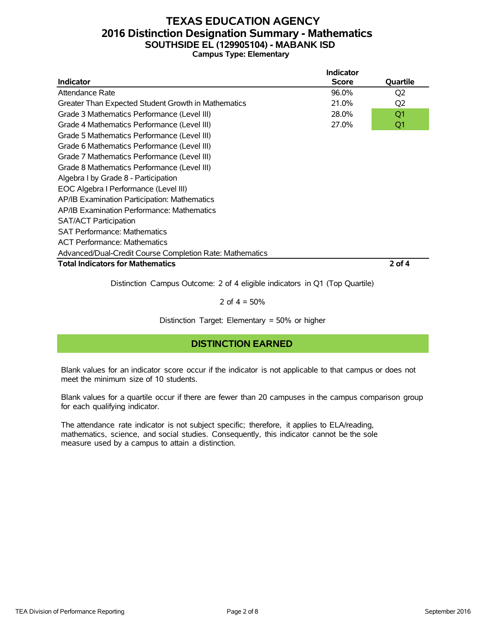### **TEXAS EDUCATION AGENCY 2016 Distinction Designation Summary - Mathematics SOUTHSIDE EL (129905104) - MABANK ISD Campus Type: Elementary**

|                                                          | Indicator    |                |
|----------------------------------------------------------|--------------|----------------|
| <b>Indicator</b>                                         | <b>Score</b> | Quartile       |
| Attendance Rate                                          | 96.0%        | Q <sub>2</sub> |
| Greater Than Expected Student Growth in Mathematics      | 21.0%        | Q <sub>2</sub> |
| Grade 3 Mathematics Performance (Level III)              | 28.0%        | Q <sub>1</sub> |
| Grade 4 Mathematics Performance (Level III)              | 27.0%        | Q1             |
| Grade 5 Mathematics Performance (Level III)              |              |                |
| Grade 6 Mathematics Performance (Level III)              |              |                |
| Grade 7 Mathematics Performance (Level III)              |              |                |
| Grade 8 Mathematics Performance (Level III)              |              |                |
| Algebra I by Grade 8 - Participation                     |              |                |
| EOC Algebra I Performance (Level III)                    |              |                |
| AP/IB Examination Participation: Mathematics             |              |                |
| AP/IB Examination Performance: Mathematics               |              |                |
| <b>SAT/ACT Participation</b>                             |              |                |
| <b>SAT Performance: Mathematics</b>                      |              |                |
| <b>ACT Performance: Mathematics</b>                      |              |                |
| Advanced/Dual-Credit Course Completion Rate: Mathematics |              |                |
| <b>Total Indicators for Mathematics</b>                  |              | 2 of 4         |

Distinction Campus Outcome: 2 of 4 eligible indicators in Q1 (Top Quartile)

2 of  $4 = 50%$ 

Distinction Target: Elementary = 50% or higher

### **DISTINCTION EARNED**

Blank values for an indicator score occur if the indicator is not applicable to that campus or does not meet the minimum size of 10 students.

Blank values for a quartile occur if there are fewer than 20 campuses in the campus comparison group for each qualifying indicator.

The attendance rate indicator is not subject specific; therefore, it applies to ELA/reading, mathematics, science, and social studies. Consequently, this indicator cannot be the sole measure used by a campus to attain a distinction.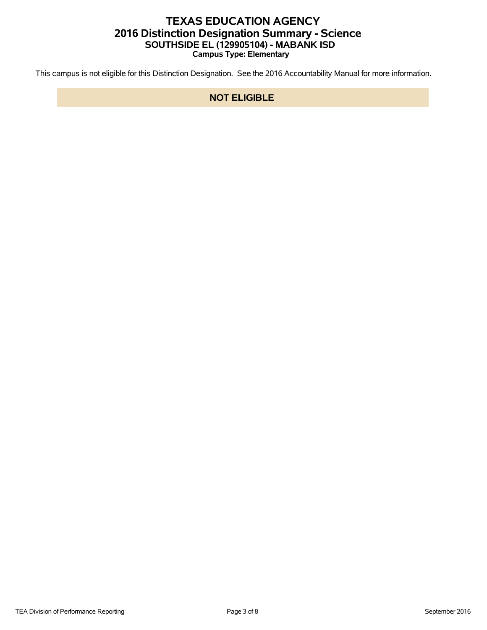# **TEXAS EDUCATION AGENCY 2016 Distinction Designation Summary - Science SOUTHSIDE EL (129905104) - MABANK ISD Campus Type: Elementary**

This campus is not eligible for this Distinction Designation. See the 2016 Accountability Manual for more information.

### **NOT ELIGIBLE**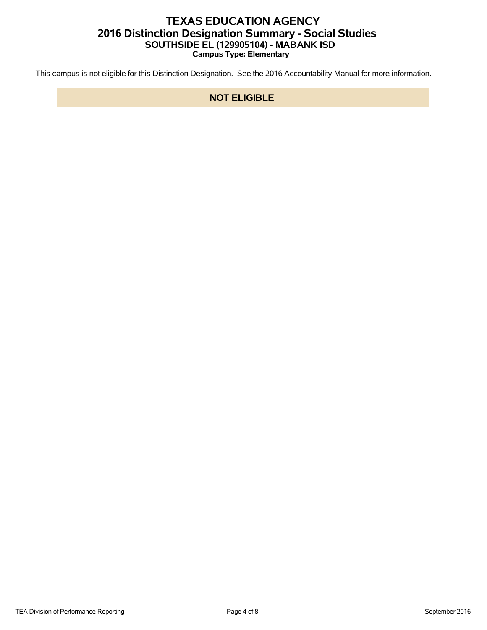# **TEXAS EDUCATION AGENCY 2016 Distinction Designation Summary - Social Studies SOUTHSIDE EL (129905104) - MABANK ISD Campus Type: Elementary**

This campus is not eligible for this Distinction Designation. See the 2016 Accountability Manual for more information.

### **NOT ELIGIBLE**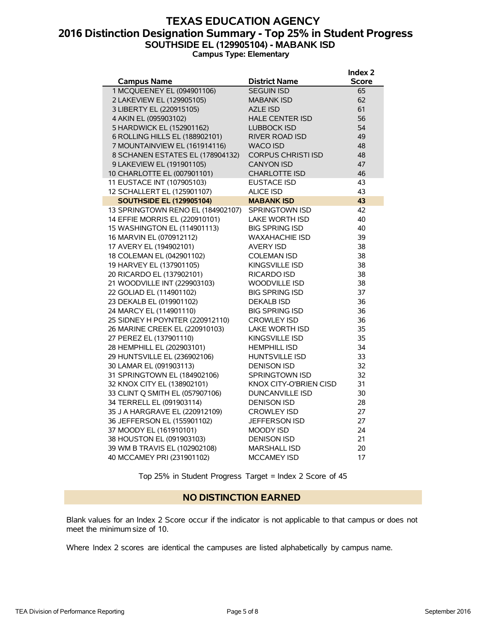### **TEXAS EDUCATION AGENCY 2016 Distinction Designation Summary - Top 25% in Student Progress SOUTHSIDE EL (129905104) - MABANK ISD Campus Type: Elementary**

|                                   |                               | Index 2      |
|-----------------------------------|-------------------------------|--------------|
| <b>Campus Name</b>                | <b>District Name</b>          | <b>Score</b> |
| 1 MCQUEENEY EL (094901106)        | <b>SEGUIN ISD</b>             | 65           |
| 2 LAKEVIEW EL (129905105)         | <b>MABANK ISD</b>             | 62           |
| 3 LIBERTY EL (220915105)          | <b>AZLE ISD</b>               | 61           |
| 4 AKIN EL (095903102)             | <b>HALE CENTER ISD</b>        | 56           |
| 5 HARDWICK EL (152901162)         | <b>LUBBOCK ISD</b>            | 54           |
| 6 ROLLING HILLS EL (188902101)    | <b>RIVER ROAD ISD</b>         | 49           |
| 7 MOUNTAINVIEW EL (161914116)     | <b>WACO ISD</b>               | 48           |
| 8 SCHANEN ESTATES EL (178904132)  | <b>CORPUS CHRISTI ISD</b>     | 48           |
| 9 LAKEVIEW EL (191901105)         | <b>CANYON ISD</b>             | 47           |
| 10 CHARLOTTE EL (007901101)       | <b>CHARLOTTE ISD</b>          | 46           |
| 11 EUSTACE INT (107905103)        | <b>EUSTACE ISD</b>            | 43           |
| 12 SCHALLERT EL (125901107)       | <b>ALICE ISD</b>              | 43           |
| <b>SOUTHSIDE EL (129905104)</b>   | <b>MABANK ISD</b>             | 43           |
| 13 SPRINGTOWN RENO EL (184902107) | <b>SPRINGTOWN ISD</b>         | 42           |
| 14 EFFIE MORRIS EL (220910101)    | <b>LAKE WORTH ISD</b>         | 40           |
| 15 WASHINGTON EL (114901113)      | <b>BIG SPRING ISD</b>         | 40           |
| 16 MARVIN EL (070912112)          | <b>WAXAHACHIE ISD</b>         | 39           |
| 17 AVERY EL (194902101)           | <b>AVERY ISD</b>              | 38           |
| 18 COLEMAN EL (042901102)         | <b>COLEMAN ISD</b>            | 38           |
| 19 HARVEY EL (137901105)          | KINGSVILLE ISD                | 38           |
| 20 RICARDO EL (137902101)         | <b>RICARDO ISD</b>            | 38           |
| 21 WOODVILLE INT (229903103)      | <b>WOODVILLE ISD</b>          | 38           |
| 22 GOLIAD EL (114901102)          | <b>BIG SPRING ISD</b>         | 37           |
| 23 DEKALB EL (019901102)          | <b>DEKALB ISD</b>             | 36           |
| 24 MARCY EL (114901110)           | <b>BIG SPRING ISD</b>         | 36           |
| 25 SIDNEY H POYNTER (220912110)   | <b>CROWLEY ISD</b>            | 36           |
| 26 MARINE CREEK EL (220910103)    | <b>LAKE WORTH ISD</b>         | 35           |
| 27 PEREZ EL (137901110)           | KINGSVILLE ISD                | 35           |
| 28 HEMPHILL EL (202903101)        | <b>HEMPHILL ISD</b>           | 34           |
| 29 HUNTSVILLE EL (236902106)      | <b>HUNTSVILLE ISD</b>         | 33           |
| 30 LAMAR EL (091903113)           | <b>DENISON ISD</b>            | 32           |
| 31 SPRINGTOWN EL (184902106)      | <b>SPRINGTOWN ISD</b>         | 32           |
| 32 KNOX CITY EL (138902101)       | <b>KNOX CITY-O'BRIEN CISD</b> | 31           |
| 33 CLINT Q SMITH EL (057907106)   | <b>DUNCANVILLE ISD</b>        | 30           |
| 34 TERRELL EL (091903114)         | <b>DENISON ISD</b>            | 28           |
| 35 J A HARGRAVE EL (220912109)    | <b>CROWLEY ISD</b>            | 27           |
| 36 JEFFERSON EL (155901102)       | <b>JEFFERSON ISD</b>          | 27           |
| 37 MOODY EL (161910101)           | <b>MOODY ISD</b>              | 24           |
| 38 HOUSTON EL (091903103)         | <b>DENISON ISD</b>            | 21           |
| 39 WM B TRAVIS EL (102902108)     | <b>MARSHALL ISD</b>           | 20           |
| 40 MCCAMEY PRI (231901102)        | <b>MCCAMEY ISD</b>            | 17           |

Top 25% in Student Progress Target = Index 2 Score of 45

### **NO DISTINCTION EARNED**

Blank values for an Index 2 Score occur if the indicator is not applicable to that campus or does not meet the minimum size of 10.

Where Index 2 scores are identical the campuses are listed alphabetically by campus name.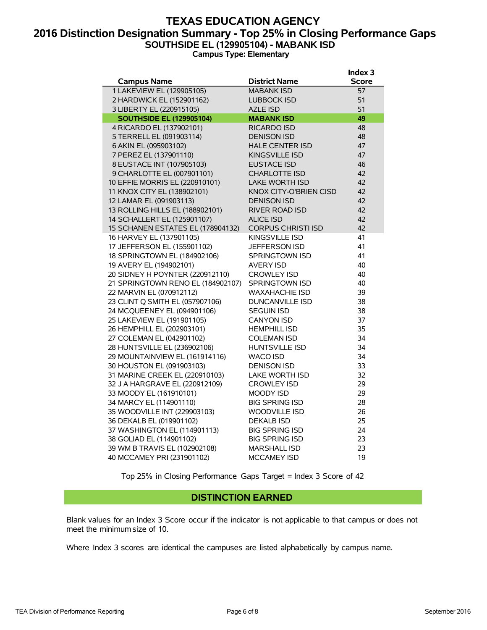### **TEXAS EDUCATION AGENCY 2016 Distinction Designation Summary - Top 25% in Closing Performance Gaps SOUTHSIDE EL (129905104) - MABANK ISD Campus Type: Elementary**

|                                   |                               | Index <sub>3</sub> |
|-----------------------------------|-------------------------------|--------------------|
| <b>Campus Name</b>                | District Name                 | <b>Score</b>       |
| 1 LAKEVIEW EL (129905105)         | <b>MABANK ISD</b>             | 57                 |
| 2 HARDWICK EL (152901162)         | <b>LUBBOCK ISD</b>            | 51                 |
| 3 LIBERTY EL (220915105)          | <b>AZLE ISD</b>               | 51                 |
| <b>SOUTHSIDE EL (129905104)</b>   | <b>MABANK ISD</b>             | 49                 |
| 4 RICARDO EL (137902101)          | RICARDO ISD                   | 48                 |
| 5 TERRELL EL (091903114)          | <b>DENISON ISD</b>            | 48                 |
| 6 AKIN EL (095903102)             | <b>HALE CENTER ISD</b>        | 47                 |
| 7 PEREZ EL (137901110)            | <b>KINGSVILLE ISD</b>         | 47                 |
| 8 EUSTACE INT (107905103)         | <b>EUSTACE ISD</b>            | 46                 |
| 9 CHARLOTTE EL (007901101)        | <b>CHARLOTTE ISD</b>          | 42                 |
| 10 EFFIE MORRIS EL (220910101)    | <b>LAKE WORTH ISD</b>         | 42                 |
| 11 KNOX CITY EL (138902101)       | <b>KNOX CITY-O'BRIEN CISD</b> | 42                 |
| 12 LAMAR EL (091903113)           | <b>DENISON ISD</b>            | 42                 |
| 13 ROLLING HILLS EL (188902101)   | <b>RIVER ROAD ISD</b>         | 42                 |
| 14 SCHALLERT EL (125901107)       | <b>ALICE ISD</b>              | 42                 |
| 15 SCHANEN ESTATES EL (178904132) | <b>CORPUS CHRISTI ISD</b>     | 42                 |
| 16 HARVEY EL (137901105)          | KINGSVILLE ISD                | 41                 |
| 17 JEFFERSON EL (155901102)       | JEFFERSON ISD                 | 41                 |
| 18 SPRINGTOWN EL (184902106)      | <b>SPRINGTOWN ISD</b>         | 41                 |
| 19 AVERY EL (194902101)           | <b>AVERY ISD</b>              | 40                 |
| 20 SIDNEY H POYNTER (220912110)   | <b>CROWLEY ISD</b>            | 40                 |
| 21 SPRINGTOWN RENO EL (184902107) | <b>SPRINGTOWN ISD</b>         | 40                 |
| 22 MARVIN EL (070912112)          | <b>WAXAHACHIE ISD</b>         | 39                 |
| 23 CLINT Q SMITH EL (057907106)   | <b>DUNCANVILLE ISD</b>        | 38                 |
| 24 MCQUEENEY EL (094901106)       | <b>SEGUIN ISD</b>             | 38                 |
| 25 LAKEVIEW EL (191901105)        | <b>CANYON ISD</b>             | 37                 |
| 26 HEMPHILL EL (202903101)        | <b>HEMPHILL ISD</b>           | 35                 |
| 27 COLEMAN EL (042901102)         | <b>COLEMAN ISD</b>            | 34                 |
| 28 HUNTSVILLE EL (236902106)      | <b>HUNTSVILLE ISD</b>         | 34                 |
| 29 MOUNTAINVIEW EL (161914116)    | <b>WACO ISD</b>               | 34                 |
| 30 HOUSTON EL (091903103)         | <b>DENISON ISD</b>            | 33                 |
| 31 MARINE CREEK EL (220910103)    | <b>LAKE WORTH ISD</b>         | 32                 |
| 32 J A HARGRAVE EL (220912109)    | <b>CROWLEY ISD</b>            | 29                 |
| 33 MOODY EL (161910101)           | <b>MOODY ISD</b>              | 29                 |
| 34 MARCY EL (114901110)           | <b>BIG SPRING ISD</b>         | 28                 |
| 35 WOODVILLE INT (229903103)      | <b>WOODVILLE ISD</b>          | 26                 |
| 36 DEKALB EL (019901102)          | <b>DEKALB ISD</b>             | 25                 |
| 37 WASHINGTON EL (114901113)      | <b>BIG SPRING ISD</b>         | 24                 |
| 38 GOLIAD EL (114901102)          | <b>BIG SPRING ISD</b>         | 23                 |
| 39 WM B TRAVIS EL (102902108)     | <b>MARSHALL ISD</b>           | 23                 |
| 40 MCCAMEY PRI (231901102)        | <b>MCCAMEY ISD</b>            | 19                 |

Top 25% in Closing Performance Gaps Target = Index 3 Score of 42

### **DISTINCTION EARNED**

Blank values for an Index 3 Score occur if the indicator is not applicable to that campus or does not meet the minimum size of 10.

Where Index 3 scores are identical the campuses are listed alphabetically by campus name.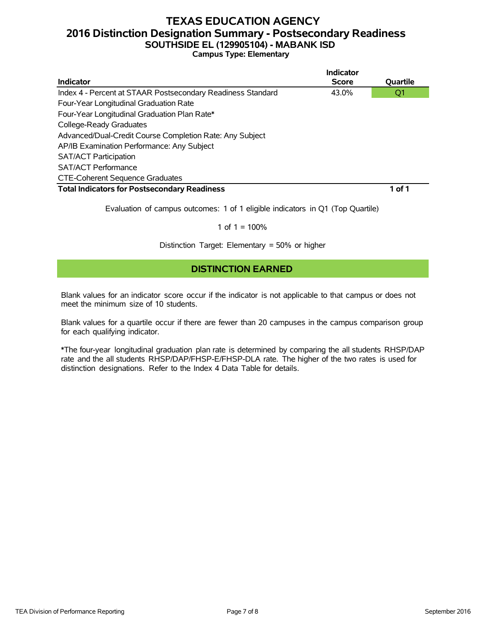### **TEXAS EDUCATION AGENCY 2016 Distinction Designation Summary - Postsecondary Readiness SOUTHSIDE EL (129905104) - MABANK ISD Campus Type: Elementary**

|                                                             | Indicator    |          |
|-------------------------------------------------------------|--------------|----------|
| Indicator                                                   | <b>Score</b> | Quartile |
| Index 4 - Percent at STAAR Postsecondary Readiness Standard | 43.0%        | Q1       |
| Four-Year Longitudinal Graduation Rate                      |              |          |
| Four-Year Longitudinal Graduation Plan Rate*                |              |          |
| College-Ready Graduates                                     |              |          |
| Advanced/Dual-Credit Course Completion Rate: Any Subject    |              |          |
| AP/IB Examination Performance: Any Subject                  |              |          |
| <b>SAT/ACT Participation</b>                                |              |          |
| <b>SAT/ACT Performance</b>                                  |              |          |
| <b>CTE-Coherent Sequence Graduates</b>                      |              |          |
| <b>Total Indicators for Postsecondary Readiness</b>         |              | 1 of 1   |

Evaluation of campus outcomes: 1 of 1 eligible indicators in Q1 (Top Quartile)

#### 1 of  $1 = 100%$

Distinction Target: Elementary = 50% or higher

### **DISTINCTION EARNED**

Blank values for an indicator score occur if the indicator is not applicable to that campus or does not meet the minimum size of 10 students.

Blank values for a quartile occur if there are fewer than 20 campuses in the campus comparison group for each qualifying indicator.

\*The four-year longitudinal graduation plan rate is determined by comparing the all students RHSP/DAP rate and the all students RHSP/DAP/FHSP-E/FHSP-DLA rate. The higher of the two rates is used for distinction designations. Refer to the Index 4 Data Table for details.